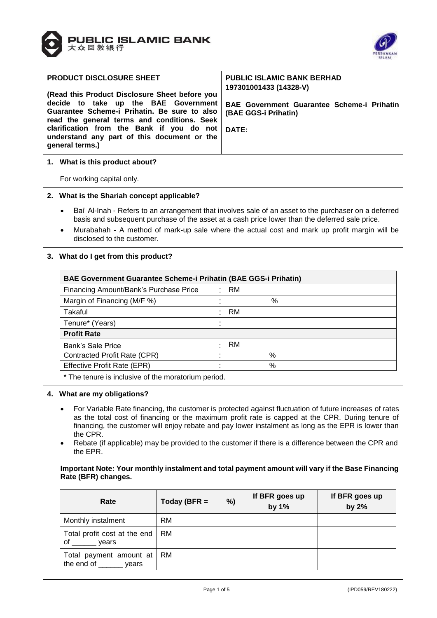



| <b>PRODUCT DISCLOSURE SHEET</b><br>(Read this Product Disclosure Sheet before you<br>decide to take up the BAE Government<br>Guarantee Scheme-i Prihatin. Be sure to also<br>read the general terms and conditions. Seek<br>clarification from the Bank if you do not<br>understand any part of this document or the<br>general terms.) |                                | <b>PUBLIC ISLAMIC BANK BERHAD</b><br>197301001433 (14328-V)                 |  |  |
|-----------------------------------------------------------------------------------------------------------------------------------------------------------------------------------------------------------------------------------------------------------------------------------------------------------------------------------------|--------------------------------|-----------------------------------------------------------------------------|--|--|
|                                                                                                                                                                                                                                                                                                                                         |                                | BAE Government Guarantee Scheme-i Prihatin<br>(BAE GGS-i Prihatin)<br>DATE: |  |  |
|                                                                                                                                                                                                                                                                                                                                         | 1. What is this product about? |                                                                             |  |  |
|                                                                                                                                                                                                                                                                                                                                         | For working capital only.      |                                                                             |  |  |

## **2. What is the Shariah concept applicable?**

- Bai' Al-Inah Refers to an arrangement that involves sale of an asset to the purchaser on a deferred basis and subsequent purchase of the asset at a cash price lower than the deferred sale price.
- Murabahah A method of mark-up sale where the actual cost and mark up profit margin will be disclosed to the customer.

# **3. What do I get from this product?**

| BAE Government Guarantee Scheme-i Prihatin (BAE GGS-i Prihatin) |   |      |   |  |  |
|-----------------------------------------------------------------|---|------|---|--|--|
| Financing Amount/Bank's Purchase Price                          |   | : RM |   |  |  |
| Margin of Financing (M/F %)                                     |   |      | % |  |  |
| Takaful                                                         |   | : RM |   |  |  |
| Tenure* (Years)                                                 |   |      |   |  |  |
| <b>Profit Rate</b>                                              |   |      |   |  |  |
| <b>Bank's Sale Price</b>                                        | ٠ | RM   |   |  |  |
| Contracted Profit Rate (CPR)                                    |   |      | % |  |  |
| Effective Profit Rate (EPR)                                     |   |      | % |  |  |

\* The tenure is inclusive of the moratorium period.

## **4. What are my obligations?**

- For Variable Rate financing, the customer is protected against fluctuation of future increases of rates as the total cost of financing or the maximum profit rate is capped at the CPR. During tenure of financing, the customer will enjoy rebate and pay lower instalment as long as the EPR is lower than the CPR.
- Rebate (if applicable) may be provided to the customer if there is a difference between the CPR and the EPR.

# **Important Note: Your monthly instalment and total payment amount will vary if the Base Financing Rate (BFR) changes.**

| Rate                                        | Today (BFR $=$ | %) | If BFR goes up<br>by 1% | If BFR goes up<br>by 2% |
|---------------------------------------------|----------------|----|-------------------------|-------------------------|
| Monthly instalment                          | <b>RM</b>      |    |                         |                         |
| Total profit cost at the end<br>of<br>vears | RM             |    |                         |                         |
| Total payment amount at<br>the end of vears | RM             |    |                         |                         |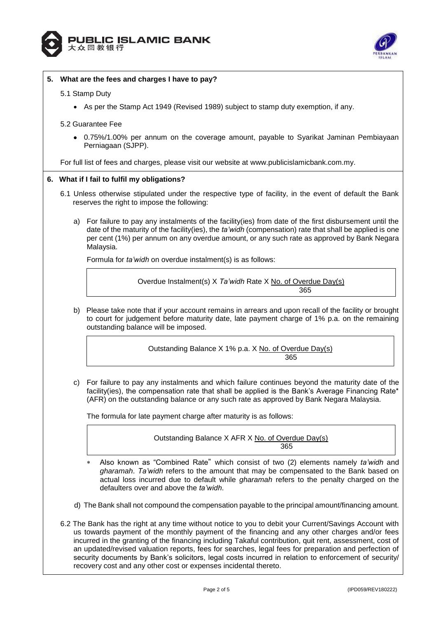



# **5. What are the fees and charges I have to pay?**

# 5.1 Stamp Duty

As per the Stamp Act 1949 (Revised 1989) subject to stamp duty exemption, if any.

## 5.2 Guarantee Fee

 0.75%/1.00% per annum on the coverage amount, payable to Syarikat Jaminan Pembiayaan Perniagaan (SJPP).

For full list of fees and charges, please visit our website at [www.publicislamicbank.com.my.](http://www.publicislamicbank.com.my/)

## **6. What if I fail to fulfil my obligations?**

- 6.1 Unless otherwise stipulated under the respective type of facility, in the event of default the Bank reserves the right to impose the following:
	- a) For failure to pay any instalments of the facility(ies) from date of the first disbursement until the date of the maturity of the facility(ies), the *ta'widh* (compensation) rate that shall be applied is one per cent (1%) per annum on any overdue amount, or any such rate as approved by Bank Negara Malaysia.

Formula for *ta'widh* on overdue instalment(s) is as follows:

Overdue Instalment(s) X *Ta'widh* Rate X No. of Overdue Day(s) 365

b) Please take note that if your account remains in arrears and upon recall of the facility or brought to court for judgement before maturity date, late payment charge of 1% p.a. on the remaining outstanding balance will be imposed.

> Outstanding Balance X 1% p.a. X No. of Overdue Day(s) 365

c) For failure to pay any instalments and which failure continues beyond the maturity date of the facility(ies), the compensation rate that shall be applied is the Bank's Average Financing Rate\* (AFR) on the outstanding balance or any such rate as approved by Bank Negara Malaysia.

The formula for late payment charge after maturity is as follows:

Outstanding Balance X AFR X No. of Overdue Day(s) <u>365 - John Stein, Amerikaansk politiker (</u>

- Also known as "Combined Rate" which consist of two (2) elements namely *ta'widh* and *gharamah*. *Ta'widh* refers to the amount that may be compensated to the Bank based on actual loss incurred due to default while *gharamah* refers to the penalty charged on the defaulters over and above the *ta'widh*.
- d) The Bank shall not compound the compensation payable to the principal amount/financing amount.
- 6.2 The Bank has the right at any time without notice to you to debit your Current/Savings Account with us towards payment of the monthly payment of the financing and any other charges and/or fees incurred in the granting of the financing including Takaful contribution, quit rent, assessment, cost of an updated/revised valuation reports, fees for searches, legal fees for preparation and perfection of security documents by Bank's solicitors, legal costs incurred in relation to enforcement of security/ recovery cost and any other cost or expenses incidental thereto.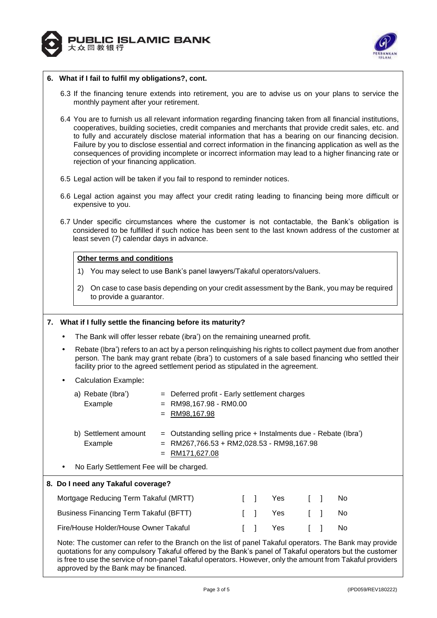



#### **6. What if I fail to fulfil my obligations?, cont.**

- 6.3 If the financing tenure extends into retirement, you are to advise us on your plans to service the monthly payment after your retirement.
- 6.4 You are to furnish us all relevant information regarding financing taken from all financial institutions, cooperatives, building societies, credit companies and merchants that provide credit sales, etc. and to fully and accurately disclose material information that has a bearing on our financing decision. Failure by you to disclose essential and correct information in the financing application as well as the consequences of providing incomplete or incorrect information may lead to a higher financing rate or rejection of your financing application.
- 6.5 Legal action will be taken if you fail to respond to reminder notices.
- 6.6 Legal action against you may affect your credit rating leading to financing being more difficult or expensive to you.
- 6.7 Under specific circumstances where the customer is not contactable, the Bank's obligation is considered to be fulfilled if such notice has been sent to the last known address of the customer at least seven (7) calendar days in advance.

#### **Other terms and conditions**

- 1) You may select to use Bank's panel lawyers/Takaful operators/valuers.
- 2) On case to case basis depending on your credit assessment by the Bank, you may be required to provide a guarantor.

## **7. What if I fully settle the financing before its maturity?**

- The Bank will offer lesser rebate (ibra') on the remaining unearned profit.
- Rebate (Ibra') refers to an act by a person relinquishing his rights to collect payment due from another person. The bank may grant rebate (ibra') to customers of a sale based financing who settled their facility prior to the agreed settlement period as stipulated in the agreement.
- Calculation Example:

| $=$ RM98,167.98                                     | = Deferred profit - Early settlement charges<br>$=$ RM98,167.98 - RM0.00                                        |
|-----------------------------------------------------|-----------------------------------------------------------------------------------------------------------------|
| b) Settlement amount<br>Example<br>$=$ RM171,627.08 | $=$ Outstanding selling price + Instalments due - Rebate (Ibra')<br>$=$ RM267,766.53 + RM2,028.53 - RM98,167.98 |

No Early Settlement Fee will be charged.

**8. Do I need any Takaful coverage?** Mortgage Reducing Term Takaful (MRTT)  $\qquad \qquad$  [ ] Yes [ ] No Business Financing Term Takaful (BFTT)  $\begin{array}{ccc} 1 & Yes \\ 1 & Yes \end{array}$  [ ] No Fire/House Holder/House Owner Takaful **Information Club To Club Yes** [ 1 No

Note: The customer can refer to the Branch on the list of panel Takaful operators. The Bank may provide quotations for any compulsory Takaful offered by the Bank's panel of Takaful operators but the customer is free to use the service of non-panel Takaful operators. However, only the amount from Takaful providers approved by the Bank may be financed.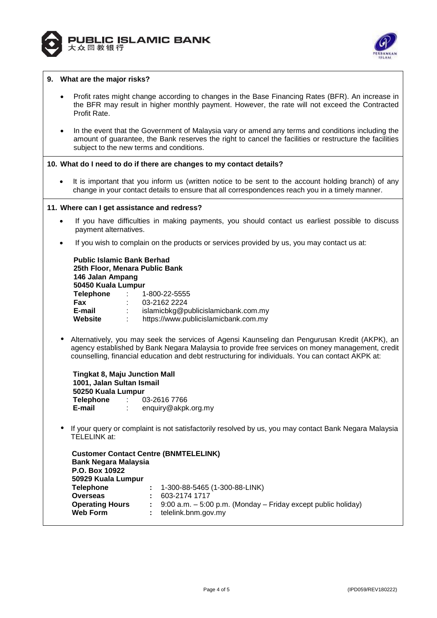



## **9. What are the major risks?**

- Profit rates might change according to changes in the Base Financing Rates (BFR). An increase in the BFR may result in higher monthly payment. However, the rate will not exceed the Contracted Profit Rate.
- In the event that the Government of Malaysia vary or amend any terms and conditions including the amount of guarantee, the Bank reserves the right to cancel the facilities or restructure the facilities subject to the new terms and conditions.

#### **10. What do I need to do if there are changes to my contact details?**

 It is important that you inform us (written notice to be sent to the account holding branch) of any change in your contact details to ensure that all correspondences reach you in a timely manner.

#### **11. Where can I get assistance and redress?**

- If you have difficulties in making payments, you should contact us earliest possible to discuss payment alternatives.
- If you wish to complain on the products or services provided by us, you may contact us at:

**Public Islamic Bank Berhad 25th Floor, Menara Public Bank 146 Jalan Ampang 50450 Kuala Lumpur Telephone** : 1-800-22-5555 **Fax** : 03-2162 2224<br>**E-mail** : islamicbkg@pi **E-mail** : islamicbkg@publicislamicbank.com.my **Website** : https://www.publicislamicbank.com.my

• Alternatively, you may seek the services of Agensi Kaunseling dan Pengurusan Kredit (AKPK), an agency established by Bank Negara Malaysia to provide free services on money management, credit counselling, financial education and debt restructuring for individuals. You can contact AKPK at:

**Tingkat 8, Maju Junction Mall 1001, Jalan Sultan Ismail 50250 Kuala Lumpur Telephone** : 03-2616 7766 **E-mail** : enquiry@akpk.org.my

 If your query or complaint is not satisfactorily resolved by us, you may contact Bank Negara Malaysia TELELINK at:

| <b>Customer Contact Centre (BNMTELELINK)</b><br><b>Bank Negara Malaysia</b> |  |                                                               |  |  |  |  |
|-----------------------------------------------------------------------------|--|---------------------------------------------------------------|--|--|--|--|
| P.O. Box 10922                                                              |  |                                                               |  |  |  |  |
| 50929 Kuala Lumpur                                                          |  |                                                               |  |  |  |  |
| <b>Telephone</b>                                                            |  | $: 1-300-88-5465(1-300-88-LINK)$                              |  |  |  |  |
| <b>Overseas</b>                                                             |  | 603-2174 1717                                                 |  |  |  |  |
| <b>Operating Hours</b>                                                      |  | 9:00 a.m. – 5:00 p.m. (Monday – Friday except public holiday) |  |  |  |  |
| <b>Web Form</b>                                                             |  | telelink.bnm.gov.my                                           |  |  |  |  |
|                                                                             |  |                                                               |  |  |  |  |